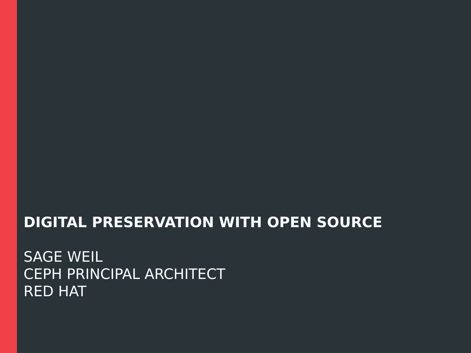#### **DIGITAL PRESERVATION WITH OPEN SOURCE**

SAGE WEIL CEPH PRINCIPAL ARCHITECT RED HAT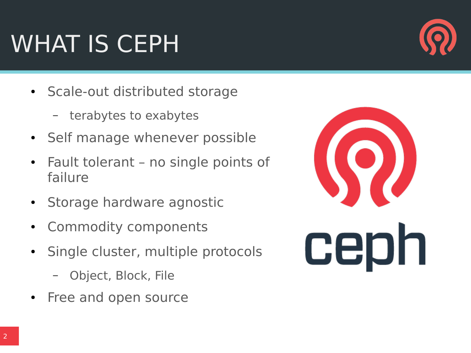#### WHAT IS CEPH

- Scale-out distributed storage
	- terabytes to exabytes
- Self manage whenever possible
- Fault tolerant no single points of failure
- Storage hardware agnostic
- Commodity components
- Single cluster, multiple protocols
	- Object, Block, File
- Free and open source



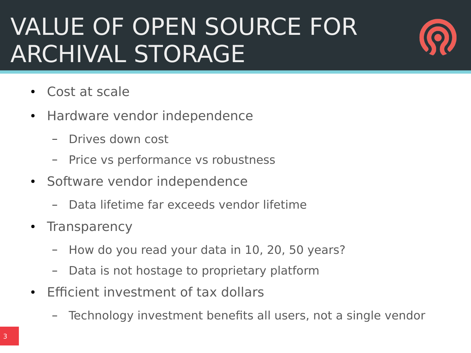#### VALUE OF OPEN SOURCE FOR ARCHIVAL STORAGE



- Cost at scale
- Hardware vendor independence
	- Drives down cost
	- Price vs performance vs robustness
- Software vendor independence
	- Data lifetime far exceeds vendor lifetime
- **Transparency** 
	- How do you read your data in 10, 20, 50 years?
	- Data is not hostage to proprietary platform
- Efficient investment of tax dollars
	- Technology investment benefits all users, not a single vendor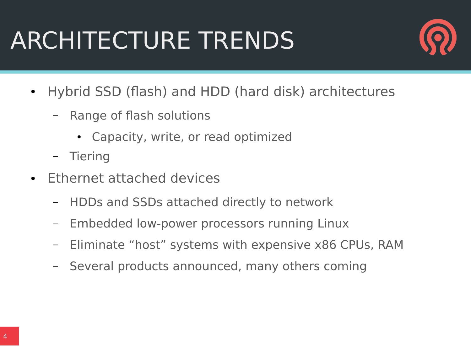## ARCHITECTURE TRENDS



- Hybrid SSD (flash) and HDD (hard disk) architectures
	- Range of flash solutions
		- Capacity, write, or read optimized
	- **Tiering**
- Ethernet attached devices
	- HDDs and SSDs attached directly to network
	- Embedded low-power processors running Linux
	- Eliminate "host" systems with expensive x86 CPUs, RAM
	- Several products announced, many others coming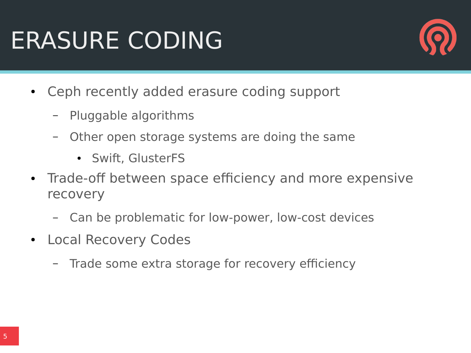## ERASURE CODING



- Ceph recently added erasure coding support
	- Pluggable algorithms
	- Other open storage systems are doing the same
		- Swift, GlusterFS
- Trade-off between space efficiency and more expensive recovery
	- Can be problematic for low-power, low-cost devices
- Local Recovery Codes
	- Trade some extra storage for recovery efficiency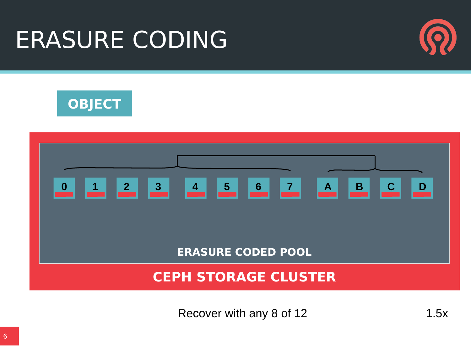#### ERASURE CODING







Recover with any 8 of 12 1.5x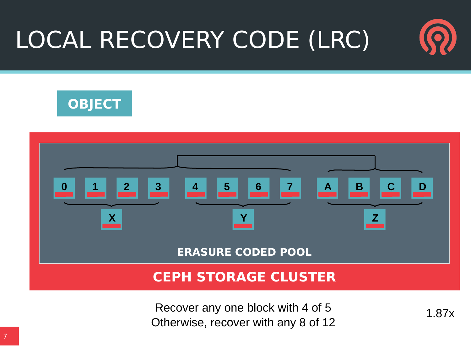# LOCAL RECOVERY CODE (LRC)





Recover any one block with 4 of 5 1.87x Otherwise, recover with any 8 of 12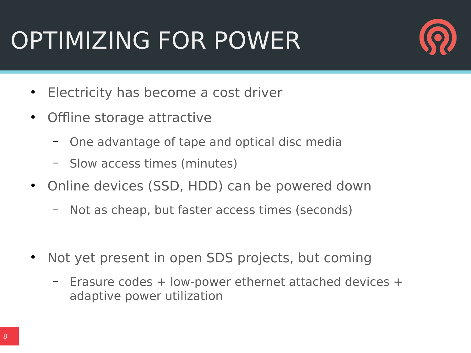## OPTIMIZING FOR POWER



- Electricity has become a cost driver
- Offline storage attractive
	- One advantage of tape and optical disc media
	- Slow access times (minutes)
- Online devices (SSD, HDD) can be powered down
	- Not as cheap, but faster access times (seconds)
- Not yet present in open SDS projects, but coming
	- Erasure codes + low-power ethernet attached devices + adaptive power utilization